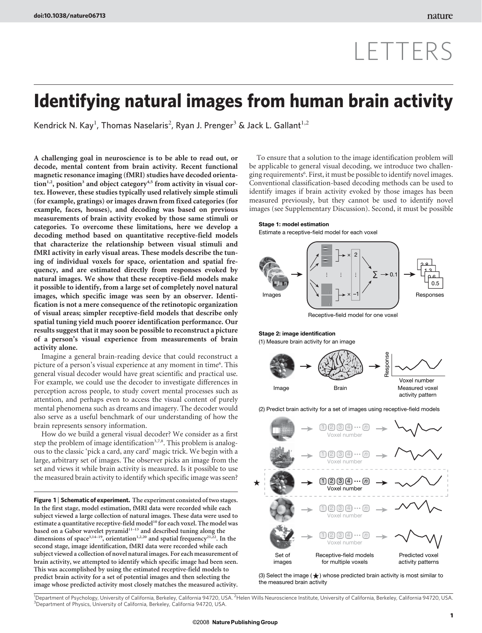# LETTERS

# Identifying natural images from human brain activity

Kendrick N. Kay<sup>1</sup>, Thomas Naselaris<sup>2</sup>, Ryan J. Prenger<sup>3</sup> & Jack L. Gallant<sup>1,2</sup>

A challenging goal in neuroscience is to be able to read out, or decode, mental content from brain activity. Recent functional magnetic resonance imaging (fMRI) studies have decoded orientation<sup>1,2</sup>, position<sup>3</sup> and object category<sup>4,5</sup> from activity in visual cortex. However, these studies typically used relatively simple stimuli (for example, gratings) or images drawn from fixed categories (for example, faces, houses), and decoding was based on previous measurements of brain activity evoked by those same stimuli or categories. To overcome these limitations, here we develop a decoding method based on quantitative receptive-field models that characterize the relationship between visual stimuli and fMRI activity in early visual areas. These models describe the tuning of individual voxels for space, orientation and spatial frequency, and are estimated directly from responses evoked by natural images. We show that these receptive-field models make it possible to identify, from a large set of completely novel natural images, which specific image was seen by an observer. Identification is not a mere consequence of the retinotopic organization of visual areas; simpler receptive-field models that describe only spatial tuning yield much poorer identification performance. Our results suggest that it may soon be possible to reconstruct a picture of a person's visual experience from measurements of brain activity alone.

Imagine a general brain-reading device that could reconstruct a picture of a person's visual experience at any moment in time<sup>6</sup>. This general visual decoder would have great scientific and practical use. For example, we could use the decoder to investigate differences in perception across people, to study covert mental processes such as attention, and perhaps even to access the visual content of purely mental phenomena such as dreams and imagery. The decoder would also serve as a useful benchmark of our understanding of how the brain represents sensory information.

How do we build a general visual decoder? We consider as a first step the problem of image identification<sup>3,7,8</sup>. This problem is analogous to the classic 'pick a card, any card' magic trick. We begin with a large, arbitrary set of images. The observer picks an image from the set and views it while brain activity is measured. Is it possible to use the measured brain activity to identify which specific image was seen?

**Figure 1 | Schematic of experiment.** The experiment consisted of two stages. In the first stage, model estimation, fMRI data were recorded while each subject viewed a large collection of natural images. These data were used to estimate a quantitative receptive-field model<sup>10</sup> for each voxel. The model was based on a Gabor wavelet pyramid $11-13$  and described tuning along the dimensions of space<sup>3,14–19</sup>, orientation<sup>1,2,20</sup> and spatial frequency<sup>21,22</sup>. In the second stage, image identification, fMRI data were recorded while each subject viewed a collection of novel natural images. For each measurement of brain activity, we attempted to identify which specific image had been seen. This was accomplished by using the estimated receptive-field models to predict brain activity for a set of potential images and then selecting the image whose predicted activity most closely matches the measured activity.

To ensure that a solution to the image identification problem will be applicable to general visual decoding, we introduce two challenging requirements<sup>6</sup>. First, it must be possible to identify novel images. Conventional classification-based decoding methods can be used to identify images if brain activity evoked by those images has been measured previously, but they cannot be used to identify novel images (see Supplementary Discussion). Second, it must be possible



Receptive-field model for one voxel

#### **Stage 2: image identification**

(1) Measure brain activity for an image



(2) Predict brain activity for a set of images using receptive-field models



(3) Select the image  $(\bigstar)$  whose predicted brain activity is most similar to the measured brain activity

<sup>1</sup>Department of Psychology, University of California, Berkeley, California 94720, USA. <sup>2</sup>Helen Wills Neuroscience Institute, University of California, Berkeley, California 94720, USA.<br><sup>3</sup>Department of Physics, University <sup>3</sup>Department of Physics, University of California, Berkeley, California 94720, USA.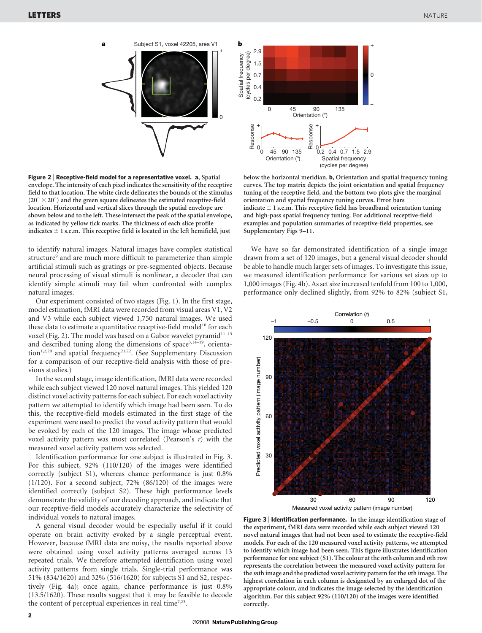

Figure 2 <sup>|</sup> Receptive-field model for a representative voxel. a, Spatial envelope. The intensity of each pixel indicates the sensitivity of the receptive field to that location. The white circle delineates the bounds of the stimulus  $(20^\circ \times 20^\circ)$  and the green square delineates the estimated receptive-field location. Horizontal and vertical slices through the spatial envelope are shown below and to the left. These intersect the peak of the spatial envelope, as indicated by yellow tick marks. The thickness of each slice profile indicates  $\pm$  1 s.e.m. This receptive field is located in the left hemifield, just

to identify natural images. Natural images have complex statistical structure<sup>9</sup> and are much more difficult to parameterize than simple artificial stimuli such as gratings or pre-segmented objects. Because neural processing of visual stimuli is nonlinear, a decoder that can identify simple stimuli may fail when confronted with complex natural images.

Our experiment consisted of two stages (Fig. 1). In the first stage, model estimation, fMRI data were recorded from visual areas V1, V2 and V3 while each subject viewed 1,750 natural images. We used these data to estimate a quantitative receptive-field model<sup>10</sup> for each voxel (Fig. 2). The model was based on a Gabor wavelet pyramid<sup>11-13</sup> and described tuning along the dimensions of space<sup>3,14-19</sup>, orientation<sup>1,2,20</sup> and spatial frequency<sup>21,22</sup>. (See Supplementary Discussion for a comparison of our receptive-field analysis with those of previous studies.)

In the second stage, image identification, fMRI data were recorded while each subject viewed 120 novel natural images. This yielded 120 distinct voxel activity patterns for each subject. For each voxel activity pattern we attempted to identify which image had been seen. To do this, the receptive-field models estimated in the first stage of the experiment were used to predict the voxel activity pattern that would be evoked by each of the 120 images. The image whose predicted voxel activity pattern was most correlated (Pearson's *r*) with the measured voxel activity pattern was selected.

Identification performance for one subject is illustrated in Fig. 3. For this subject, 92% (110/120) of the images were identified correctly (subject S1), whereas chance performance is just 0.8% (1/120). For a second subject, 72% (86/120) of the images were identified correctly (subject S2). These high performance levels demonstrate the validity of our decoding approach, and indicate that our receptive-field models accurately characterize the selectivity of individual voxels to natural images.

A general visual decoder would be especially useful if it could operate on brain activity evoked by a single perceptual event. However, because fMRI data are noisy, the results reported above were obtained using voxel activity patterns averaged across 13 repeated trials. We therefore attempted identification using voxel activity patterns from single trials. Single-trial performance was 51% (834/1620) and 32% (516/1620) for subjects S1 and S2, respectively (Fig. 4a); once again, chance performance is just 0.8% (13.5/1620). These results suggest that it may be feasible to decode the content of perceptual experiences in real time<sup>7,23</sup>.



below the horizontal meridian. b, Orientation and spatial frequency tuning curves. The top matrix depicts the joint orientation and spatial frequency tuning of the receptive field, and the bottom two plots give the marginal orientation and spatial frequency tuning curves. Error bars indicate  $\pm$  1 s.e.m. This receptive field has broadband orientation tuning and high-pass spatial frequency tuning. For additional receptive-field examples and population summaries of receptive-field properties, see Supplementary Figs 9–11.

We have so far demonstrated identification of a single image drawn from a set of 120 images, but a general visual decoder should be able to handle much larger sets of images. To investigate this issue, we measured identification performance for various set sizes up to 1,000 images (Fig. 4b). As set size increased tenfold from 100 to 1,000, performance only declined slightly, from 92% to 82% (subject S1,



Figure 3 | Identification performance. In the image identification stage of the experiment, fMRI data were recorded while each subject viewed 120 novel natural images that had not been used to estimate the receptive-field models. For each of the 120 measured voxel activity patterns, we attempted to identify which image had been seen. This figure illustrates identification performance for one subject (S1). The colour at the mth column and nth row represents the correlation between the measured voxel activity pattern for the mth image and the predicted voxel activity pattern for the nth image. The highest correlation in each column is designated by an enlarged dot of the appropriate colour, and indicates the image selected by the identification algorithm. For this subject 92% (110/120) of the images were identified correctly.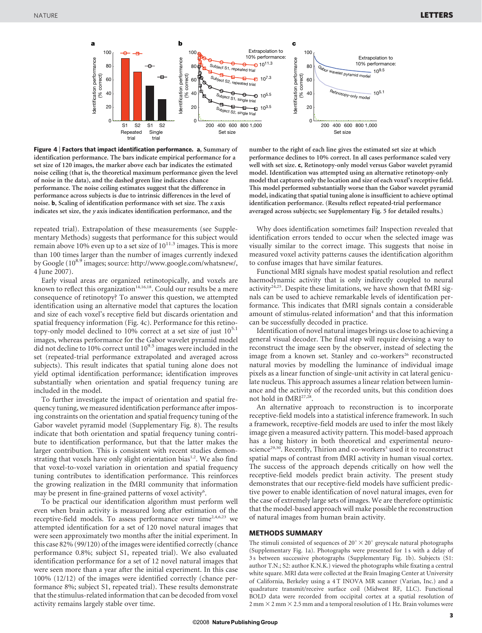

Figure 4 <sup>|</sup> Factors that impact identification performance. a, Summary of identification performance. The bars indicate empirical performance for a set size of 120 images, the marker above each bar indicates the estimated noise ceiling (that is, the theoretical maximum performance given the level of noise in the data), and the dashed green line indicates chance performance. The noise ceiling estimates suggest that the difference in performance across subjects is due to intrinsic differences in the level of noise. b, Scaling of identification performance with set size. The x axis indicates set size, the y axis indicates identification performance, and the

repeated trial). Extrapolation of these measurements (see Supplementary Methods) suggests that performance for this subject would remain above 10% even up to a set size of  $10^{11.3}$  images. This is more than 100 times larger than the number of images currently indexed by Google (108.9 images; source: [http://www.google.com/whatsnew/,](http://www.google.com/whatsnew) 4 June 2007).

Early visual areas are organized retinotopically, and voxels are known to reflect this organization $14,16,18$ . Could our results be a mere consequence of retinotopy? To answer this question, we attempted identification using an alternative model that captures the location and size of each voxel's receptive field but discards orientation and spatial frequency information (Fig. 4c). Performance for this retinotopy-only model declined to 10% correct at a set size of just  $10^{5.1}$ images, whereas performance for the Gabor wavelet pyramid model did not decline to 10% correct until  $10^{9.5}$  images were included in the set (repeated-trial performance extrapolated and averaged across subjects). This result indicates that spatial tuning alone does not yield optimal identification performance; identification improves substantially when orientation and spatial frequency tuning are included in the model.

To further investigate the impact of orientation and spatial frequency tuning, we measured identification performance after imposing constraints on the orientation and spatial frequency tuning of the Gabor wavelet pyramid model (Supplementary Fig. 8). The results indicate that both orientation and spatial frequency tuning contribute to identification performance, but that the latter makes the larger contribution. This is consistent with recent studies demonstrating that voxels have only slight orientation bias<sup>1,2</sup>. We also find that voxel-to-voxel variation in orientation and spatial frequency tuning contributes to identification performance. This reinforces the growing realization in the fMRI community that information may be present in fine-grained patterns of voxel activity<sup>6</sup>.

To be practical our identification algorithm must perform well even when brain activity is measured long after estimation of the receptive-field models. To assess performance over time<sup>2,4,6,23</sup> we attempted identification for a set of 120 novel natural images that were seen approximately two months after the initial experiment. In this case 82% (99/120) of the images were identified correctly (chance performance 0.8%; subject S1, repeated trial). We also evaluated identification performance for a set of 12 novel natural images that were seen more than a year after the initial experiment. In this case 100% (12/12) of the images were identified correctly (chance performance 8%; subject S1, repeated trial). These results demonstrate that the stimulus-related information that can be decoded from voxel activity remains largely stable over time.

number to the right of each line gives the estimated set size at which performance declines to 10% correct. In all cases performance scaled very well with set size. c, Retinotopy-only model versus Gabor wavelet pyramid model. Identification was attempted using an alternative retinotopy-only model that captures only the location and size of each voxel's receptive field. This model performed substantially worse than the Gabor wavelet pyramid model, indicating that spatial tuning alone is insufficient to achieve optimal identification performance. (Results reflect repeated-trial performance averaged across subjects; see Supplementary Fig. 5 for detailed results.)

Why does identification sometimes fail? Inspection revealed that identification errors tended to occur when the selected image was visually similar to the correct image. This suggests that noise in measured voxel activity patterns causes the identification algorithm to confuse images that have similar features.

Functional MRI signals have modest spatial resolution and reflect haemodynamic activity that is only indirectly coupled to neural activity<sup>24,25</sup>. Despite these limitations, we have shown that fMRI signals can be used to achieve remarkable levels of identification performance. This indicates that fMRI signals contain a considerable amount of stimulus-related information<sup>4</sup> and that this information can be successfully decoded in practice.

Identification of novel natural images brings us close to achieving a general visual decoder. The final step will require devising a way to reconstruct the image seen by the observer, instead of selecting the image from a known set. Stanley and co-workers<sup>26</sup> reconstructed natural movies by modelling the luminance of individual image pixels as a linear function of single-unit activity in cat lateral geniculate nucleus. This approach assumes a linear relation between luminance and the activity of the recorded units, but this condition does not hold in fMRI<sup>27,28</sup>.

An alternative approach to reconstruction is to incorporate receptive-field models into a statistical inference framework. In such a framework, receptive-field models are used to infer the most likely image given a measured activity pattern. This model-based approach has a long history in both theoretical and experimental neuroscience<sup>29,30</sup>. Recently, Thirion and co-workers<sup>3</sup> used it to reconstruct spatial maps of contrast from fMRI activity in human visual cortex. The success of the approach depends critically on how well the receptive-field models predict brain activity. The present study demonstrates that our receptive-field models have sufficient predictive power to enable identification of novel natural images, even for the case of extremely large sets of images. We are therefore optimistic that the model-based approach will make possible the reconstruction of natural images from human brain activity.

#### METHODS SUMMARY

The stimuli consisted of sequences of  $20^{\circ} \times 20^{\circ}$  greyscale natural photographs (Supplementary Fig. 1a). Photographs were presented for 1 s with a delay of 3 s between successive photographs (Supplementary Fig. 1b). Subjects (S1: author T.N.; S2: author K.N.K.) viewed the photographs while fixating a central white square. MRI data were collected at the Brain Imaging Center at University of California, Berkeley using a 4 T INOVA MR scanner (Varian, Inc.) and a quadrature transmit/receive surface coil (Midwest RF, LLC). Functional BOLD data were recorded from occipital cortex at a spatial resolution of  $2$  mm  $\times$  2 mm  $\times$  2.5 mm and a temporal resolution of 1 Hz. Brain volumes were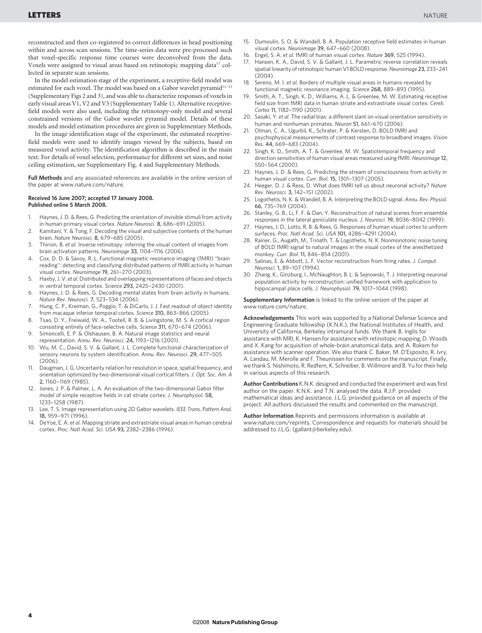reconstructed and then co-registered to correct differences in head positioning within and across scan sessions. The time-series data were pre-processed such that voxel-specific response time courses were deconvolved from the data. Voxels were assigned to visual areas based on retinotopic mapping data<sup>17</sup> collected in separate scan sessions.

In the model estimation stage of the experiment, a receptive-field model was estimated for each voxel. The model was based on a Gabor wavelet pyramid<sup>11-13</sup> (Supplementary Figs 2 and 3), and was able to characterize responses of voxels in early visual areas V1, V2 and V3 (Supplementary Table 1). Alternative receptivefield models were also used, including the retinotopy-only model and several constrained versions of the Gabor wavelet pyramid model. Details of these models and model estimation procedures are given in Supplementary Methods.

In the image identification stage of the experiment, the estimated receptivefield models were used to identify images viewed by the subjects, based on measured voxel activity. The identification algorithm is described in the main text. For details of voxel selection, performance for different set sizes, and noise ceiling estimation, see Supplementary Fig. 4 and Supplementary Methods.

Full Methods and any associated references are available in the online version of the paper at<www.nature.com/nature>.

### Received 16 June 2007; accepted 17 January 2008. Published online 5 March 2008.

- 1. Haynes, J. D. & Rees, G. Predicting the orientation of invisible stimuli from activity in human primary visual cortex. Nature Neurosci. 8, 686–691 (2005).
- 2. Kamitani, Y. & Tong, F. Decoding the visual and subjective contents of the human brain. Nature Neurosci. 8, 679–685 (2005).
- 3. Thirion, B. et al. Inverse retinotopy: inferring the visual content of images from brain activation patterns. Neuroimage 33, 1104–1116 (2006).
- 4. Cox, D. D. & Savoy, R. L. Functional magnetic resonance imaging (fMRI) ''brain reading'': detecting and classifying distributed patterns of fMRI activity in human visual cortex. Neuroimage 19, 261–270 (2003).
- 5. Haxby, J. V. et al.Distributed and overlapping representations of faces and objects in ventral temporal cortex. Science 293, 2425–2430 (2001).
- 6. Haynes, J. D. & Rees, G. Decoding mental states from brain activity in humans. Nature Rev. Neurosci. 7, 523–534 (2006).
- 7. Hung, C. P., Kreiman, G., Poggio, T. & DiCarlo, J. J. Fast readout of object identity from macaque inferior temporal cortex. Science 310, 863–866 (2005).
- 8. Tsao, D. Y., Freiwald, W. A., Tootell, R. B. & Livingstone, M. S. A cortical region consisting entirely of face-selective cells. Science 311, 670–674 (2006).
- 9. Simoncelli, E. P. & Olshausen, B. A. Natural image statistics and neural representation. Annu. Rev. Neurosci. 24, 1193–1216 (2001).
- 10. Wu, M. C., David, S. V. & Gallant, J. L. Complete functional characterization of sensory neurons by system identification. Annu. Rev. Neurosci. 29, 477–505 (2006).
- 11. Daugman, J. G. Uncertainty relation for resolution in space, spatial frequency, and orientation optimized by two-dimensional visual cortical filters. J. Opt. Soc. Am. A 2, 1160–1169 (1985).
- 12. Jones, J. P. & Palmer, L. A. An evaluation of the two-dimensional Gabor filter model of simple receptive fields in cat striate cortex. J. Neurophysiol. 58, 1233–1258 (1987).
- Lee, T. S. Image representation using 2D Gabor wavelets. IEEE Trans. Pattern Anal. 18, 959–971 (1996).
- 14. DeYoe, E. A. et al. Mapping striate and extrastriate visual areas in human cerebral cortex. Proc. Natl Acad. Sci. USA 93, 2382–2386 (1996).
- 15. Dumoulin, S. O. & Wandell, B. A. Population receptive field estimates in human visual cortex. Neuroimage 39, 647–660 (2008).
- 16. Engel, S. A. et al. fMRI of human visual cortex. Nature 369, 525 (1994).
- 17. Hansen, K. A., David, S. V. & Gallant, J. L. Parametric reverse correlation reveals spatial linearity of retinotopic human V1 BOLD response. Neuroimage 23, 233–241  $(2004)$
- 18. Sereno, M. I. et al. Borders of multiple visual areas in humans revealed by functional magnetic resonance imaging. Science 268, 889–893 (1995).
- Smith, A. T., Singh, K. D., Williams, A. L. & Greenlee, M. W. Estimating receptive field size from fMRI data in human striate and extrastriate visual cortex. Cereb. Cortex 11, 1182–1190 (2001).
- 20. Sasaki, Y. et al. The radial bias: a different slant on visual orientation sensitivity in human and nonhuman primates. Neuron 51, 661–670 (2006).
- 21. Olman, C. A., Ugurbil, K., Schrater, P. & Kersten, D. BOLD fMRI and psychophysical measurements of contrast response to broadband images. Vision Res. 44, 669–683 (2004).
- 22. Singh, K. D., Smith, A. T. & Greenlee, M. W. Spatiotemporal frequency and direction sensitivities of human visual areas measured using fMRI. Neuroimage 12, 550–564 (2000).
- 23. Haynes, J. D. & Rees, G. Predicting the stream of consciousness from activity in human visual cortex. Curr. Biol. 15, 1301–1307 (2005).
- 24. Heeger, D. J. & Ress, D. What does fMRI tell us about neuronal activity? Nature Rev. Neurosci. 3, 142–151 (2002).
- 25. Logothetis, N. K. & Wandell, B. A. Interpreting the BOLD signal. Annu. Rev. Physiol. 66, 735–769 (2004).
- 26. Stanley, G. B., Li, F. F. & Dan, Y. Reconstruction of natural scenes from ensemble responses in the lateral geniculate nucleus. J. Neurosci. 19, 8036–8042 (1999).
- 27. Haynes, J. D., Lotto, R. B. & Rees, G. Responses of human visual cortex to uniform surfaces. Proc. Natl Acad. Sci. USA 101, 4286–4291 (2004).
- 28. Rainer, G., Augath, M., Trinath, T. & Logothetis, N. K. Nonmonotonic noise tuning of BOLD fMRI signal to natural images in the visual cortex of the anesthetized monkey. Curr. Biol. 11, 846–854 (2001).
- 29. Salinas, E. & Abbott, L. F. Vector reconstruction from firing rates. J. Comput. Neurosci. 1, 89–107 (1994).
- 30. Zhang, K., Ginzburg, I., McNaughton, B. L. & Sejnowski, T. J. Interpreting neuronal population activity by reconstruction: unified framework with application to hippocampal place cells. J. Neurophysiol. 79, 1017-1044 (1998).

Supplementary Information is linked to the online version of the paper at <www.nature.com/nature>.

Acknowledgements This work was supported by a National Defense Science and Engineering Graduate fellowship (K.N.K.), the National Institutes of Health, and University of California, Berkeley intramural funds. We thank B. Inglis for assistance with MRI, K. Hansen for assistance with retinotopic mapping, D. Woods and X. Kang for acquisition of whole-brain anatomical data, and A. Rokem for assistance with scanner operation. We also thank C. Baker, M. D'Esposito, R. Ivry, A. Landau, M. Merolle and F. Theunissen for comments on the manuscript. Finally, we thank S. Nishimoto, R. Redfern, K. Schreiber, B. Willmore and B. Yu for their help in various aspects of this research.

Author Contributions K.N.K. designed and conducted the experiment and was first author on the paper. K.N.K. and T.N. analysed the data. R.J.P. provided mathematical ideas and assistance. J.L.G. provided guidance on all aspects of the project. All authors discussed the results and commented on the manuscript.

Author Information Reprints and permissions information is available at <www.nature.com/reprints>. Correspondence and requests for materials should be addressed to J.L.G. [\(gallant@berkeley.edu\)](mailto:gallant@berkeley.edu).